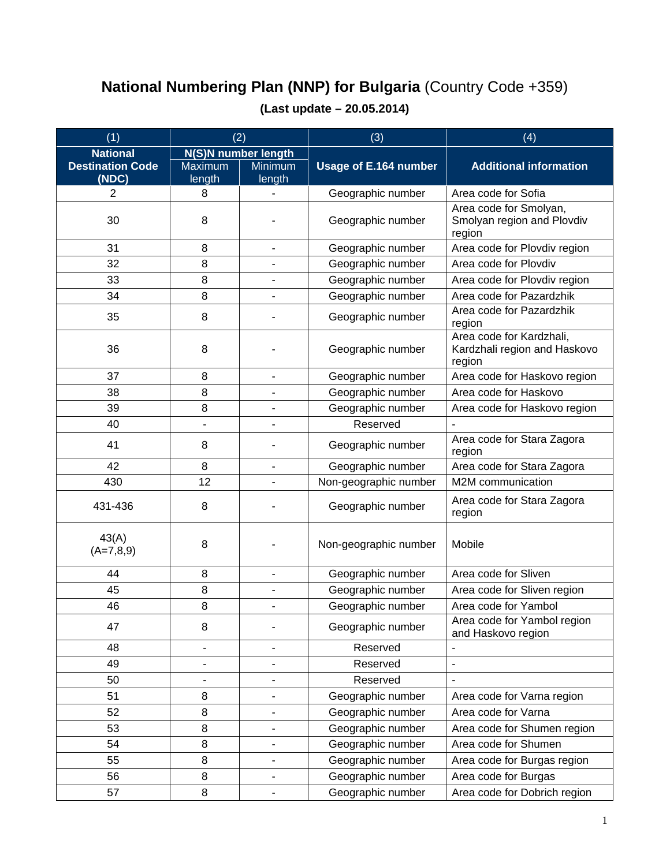## **National Numbering Plan (NNP) for Bulgaria** (Country Code +359)

| (1)                              | (2)                      |                              | (3)                   | (4)                                                                |
|----------------------------------|--------------------------|------------------------------|-----------------------|--------------------------------------------------------------------|
| <b>National</b>                  | N(S)N number length      |                              |                       |                                                                    |
| <b>Destination Code</b><br>(NDC) | Maximum<br>length        | <b>Minimum</b><br>length     | Usage of E.164 number | <b>Additional information</b>                                      |
| $\overline{2}$                   | 8                        |                              | Geographic number     | Area code for Sofia                                                |
| 30                               | 8                        |                              | Geographic number     | Area code for Smolyan,<br>Smolyan region and Plovdiv<br>region     |
| 31                               | 8                        | $\blacksquare$               | Geographic number     | Area code for Plovdiv region                                       |
| 32                               | 8                        | $\overline{\phantom{a}}$     | Geographic number     | Area code for Plovdiv                                              |
| 33                               | 8                        |                              | Geographic number     | Area code for Plovdiv region                                       |
| 34                               | 8                        | $\overline{\phantom{a}}$     | Geographic number     | Area code for Pazardzhik                                           |
| 35                               | 8                        |                              | Geographic number     | Area code for Pazardzhik<br>region                                 |
| 36                               | 8                        |                              | Geographic number     | Area code for Kardzhali,<br>Kardzhali region and Haskovo<br>region |
| 37                               | 8                        | $\overline{\phantom{a}}$     | Geographic number     | Area code for Haskovo region                                       |
| 38                               | 8                        | $\overline{\phantom{a}}$     | Geographic number     | Area code for Haskovo                                              |
| 39                               | 8                        | $\overline{\phantom{a}}$     | Geographic number     | Area code for Haskovo region                                       |
| 40                               |                          |                              | Reserved              |                                                                    |
| 41                               | 8                        |                              | Geographic number     | Area code for Stara Zagora<br>region                               |
| 42                               | 8                        | $\overline{\phantom{a}}$     | Geographic number     | Area code for Stara Zagora                                         |
| 430                              | 12                       | $\blacksquare$               | Non-geographic number | M2M communication                                                  |
| 431-436                          | 8                        |                              | Geographic number     | Area code for Stara Zagora<br>region                               |
| 43(A)<br>$(A=7,8,9)$             | 8                        |                              | Non-geographic number | Mobile                                                             |
| 44                               | 8                        | $\blacksquare$               | Geographic number     | Area code for Sliven                                               |
| 45                               | 8                        | $\overline{\phantom{a}}$     | Geographic number     | Area code for Sliven region                                        |
| 46                               | 8                        | $\blacksquare$               | Geographic number     | Area code for Yambol                                               |
| 47                               | 8                        |                              | Geographic number     | Area code for Yambol region<br>and Haskovo region                  |
| 48                               |                          | $\overline{\phantom{a}}$     | Reserved              |                                                                    |
| 49                               | $\overline{\phantom{0}}$ | $\overline{\phantom{a}}$     | Reserved              | ä,                                                                 |
| 50                               |                          | $\blacksquare$               | Reserved              |                                                                    |
| 51                               | 8                        | $\overline{\phantom{a}}$     | Geographic number     | Area code for Varna region                                         |
| 52                               | 8                        | $\overline{\phantom{a}}$     | Geographic number     | Area code for Varna                                                |
| 53                               | 8                        | $\overline{\phantom{a}}$     | Geographic number     | Area code for Shumen region                                        |
| 54                               | 8                        | $\overline{\phantom{a}}$     | Geographic number     | Area code for Shumen                                               |
| 55                               | 8                        | $\overline{\phantom{a}}$     | Geographic number     | Area code for Burgas region                                        |
| 56                               | 8                        | $\overline{\phantom{a}}$     | Geographic number     | Area code for Burgas                                               |
| 57                               | 8                        | $\qquad \qquad \blacksquare$ | Geographic number     | Area code for Dobrich region                                       |

## **(Last update – 20.05.2014)**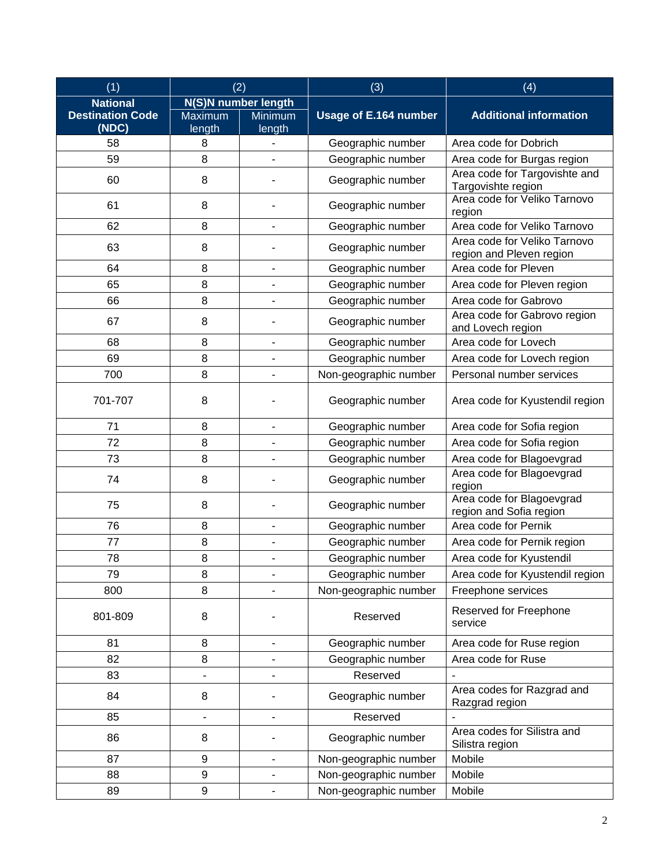| (1)                              | (2)                      |                              | (3)                   | (4)                                                      |
|----------------------------------|--------------------------|------------------------------|-----------------------|----------------------------------------------------------|
| <b>National</b>                  | N(S)N number length      |                              |                       |                                                          |
| <b>Destination Code</b><br>(NDC) | <b>Maximum</b><br>length | Minimum<br>length            | Usage of E.164 number | <b>Additional information</b>                            |
| 58                               | 8                        |                              | Geographic number     | Area code for Dobrich                                    |
| 59                               | 8                        |                              | Geographic number     | Area code for Burgas region                              |
| 60                               | 8                        |                              | Geographic number     | Area code for Targovishte and<br>Targovishte region      |
| 61                               | 8                        |                              | Geographic number     | Area code for Veliko Tarnovo<br>region                   |
| 62                               | 8                        |                              | Geographic number     | Area code for Veliko Tarnovo                             |
| 63                               | 8                        |                              | Geographic number     | Area code for Veliko Tarnovo<br>region and Pleven region |
| 64                               | 8                        | $\qquad \qquad \blacksquare$ | Geographic number     | Area code for Pleven                                     |
| 65                               | 8                        | $\overline{a}$               | Geographic number     | Area code for Pleven region                              |
| 66                               | 8                        |                              | Geographic number     | Area code for Gabrovo                                    |
| 67                               | 8                        |                              | Geographic number     | Area code for Gabrovo region<br>and Lovech region        |
| 68                               | 8                        | $\overline{\phantom{a}}$     | Geographic number     | Area code for Lovech                                     |
| 69                               | 8                        |                              | Geographic number     | Area code for Lovech region                              |
| 700                              | 8                        | ÷,                           | Non-geographic number | Personal number services                                 |
| 701-707                          | 8                        |                              | Geographic number     | Area code for Kyustendil region                          |
| 71                               | 8                        | $\overline{\phantom{a}}$     | Geographic number     | Area code for Sofia region                               |
| 72                               | 8                        | ä,                           | Geographic number     | Area code for Sofia region                               |
| 73                               | 8                        | $\overline{\phantom{0}}$     | Geographic number     | Area code for Blagoevgrad                                |
| 74                               | 8                        |                              | Geographic number     | Area code for Blagoevgrad<br>region                      |
| 75                               | 8                        |                              | Geographic number     | Area code for Blagoevgrad<br>region and Sofia region     |
| 76                               | 8                        | $\overline{\phantom{0}}$     | Geographic number     | Area code for Pernik                                     |
| 77                               | 8                        |                              | Geographic number     | Area code for Pernik region                              |
| 78                               | 8                        |                              | Geographic number     | Area code for Kyustendil                                 |
| 79                               | 8                        |                              | Geographic number     | Area code for Kyustendil region                          |
| 800                              | 8                        |                              | Non-geographic number | Freephone services                                       |
| 801-809                          | 8                        |                              | Reserved              | Reserved for Freephone<br>service                        |
| 81                               | 8                        | $\overline{\phantom{0}}$     | Geographic number     | Area code for Ruse region                                |
| 82                               | 8                        |                              | Geographic number     | Area code for Ruse                                       |
| 83                               | $\overline{\phantom{0}}$ | -                            | Reserved              |                                                          |
| 84                               | 8                        |                              | Geographic number     | Area codes for Razgrad and<br>Razgrad region             |
| 85                               | $\frac{1}{2}$            | $\overline{\phantom{0}}$     | Reserved              |                                                          |
| 86                               | 8                        |                              | Geographic number     | Area codes for Silistra and<br>Silistra region           |
| 87                               | $\boldsymbol{9}$         | $\overline{\phantom{0}}$     | Non-geographic number | Mobile                                                   |
| 88                               | $\boldsymbol{9}$         | $\qquad \qquad \blacksquare$ | Non-geographic number | Mobile                                                   |
| 89                               | $\boldsymbol{9}$         | $\qquad \qquad \blacksquare$ | Non-geographic number | Mobile                                                   |